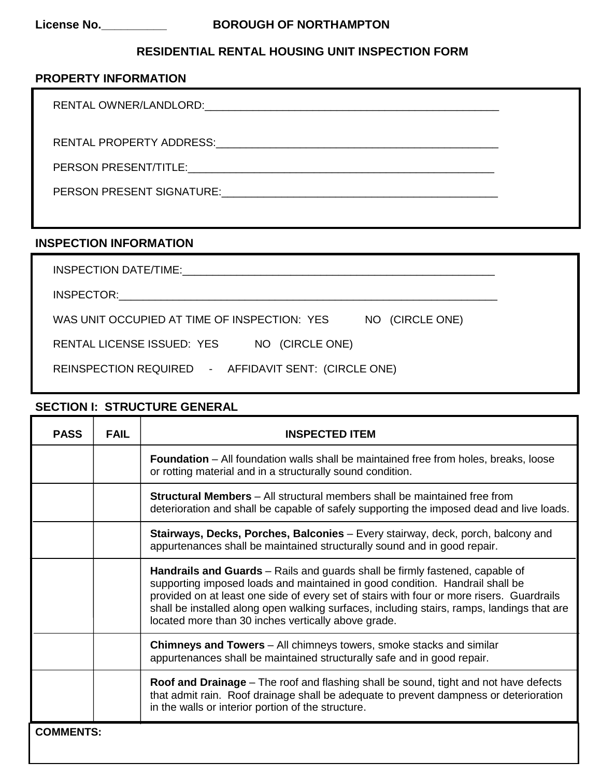# **License No.\_\_\_\_\_\_\_\_\_\_ BOROUGH OF NORTHAMPTON**

### **RESIDENTIAL RENTAL HOUSING UNIT INSPECTION FORM**

#### **PROPERTY INFORMATION**

RENTAL OWNER/LANDLORD:\_\_\_\_\_\_\_\_\_\_\_\_\_\_\_\_\_\_\_\_\_\_\_\_\_\_\_\_\_\_\_\_\_\_\_\_\_\_\_\_\_\_\_\_\_\_\_\_\_

RENTAL PROPERTY ADDRESS:\_\_\_\_\_\_\_\_\_\_\_\_\_\_\_\_\_\_\_\_\_\_\_\_\_\_\_\_\_\_\_\_\_\_\_\_\_\_\_\_\_\_\_\_\_\_\_

PERSON PRESENT/TITLE:\_\_\_\_\_\_\_\_\_\_\_\_\_\_\_\_\_\_\_\_\_\_\_\_\_\_\_\_\_\_\_\_\_\_\_\_\_\_\_\_\_\_\_\_\_\_\_\_\_\_\_

PERSON PRESENT SIGNATURE:\_\_\_\_\_\_\_\_\_\_\_\_\_\_\_\_\_\_\_\_\_\_\_\_\_\_\_\_\_\_\_\_\_\_\_\_\_\_\_\_\_\_\_\_\_\_

#### **INSPECTION INFORMATION**

| INSPECTION DATE/TIME: THE RESERVED ON A SERVED ON A SERVED ON A SERVED ON A SERVED ON A SERVED ON A SERVED ON A |
|-----------------------------------------------------------------------------------------------------------------|
|                                                                                                                 |
| WAS UNIT OCCUPIED AT TIME OF INSPECTION: YES<br>NO (CIRCLE ONE)                                                 |
| RENTAL LICENSE ISSUED: YES<br>NO (CIRCLE ONE)                                                                   |
| REINSPECTION REQUIRED - AFFIDAVIT SENT: (CIRCLE ONE)                                                            |

### **SECTION I: STRUCTURE GENERAL**

| <b>PASS</b>      | <b>FAIL</b> | <b>INSPECTED ITEM</b>                                                                                                                                                                                                                                                                                                                                                                                                 |
|------------------|-------------|-----------------------------------------------------------------------------------------------------------------------------------------------------------------------------------------------------------------------------------------------------------------------------------------------------------------------------------------------------------------------------------------------------------------------|
|                  |             | <b>Foundation</b> – All foundation walls shall be maintained free from holes, breaks, loose<br>or rotting material and in a structurally sound condition.                                                                                                                                                                                                                                                             |
|                  |             | <b>Structural Members</b> – All structural members shall be maintained free from<br>deterioration and shall be capable of safely supporting the imposed dead and live loads.                                                                                                                                                                                                                                          |
|                  |             | <b>Stairways, Decks, Porches, Balconies</b> – Every stairway, deck, porch, balcony and<br>appurtenances shall be maintained structurally sound and in good repair.                                                                                                                                                                                                                                                    |
|                  |             | <b>Handrails and Guards</b> – Rails and guards shall be firmly fastened, capable of<br>supporting imposed loads and maintained in good condition. Handrail shall be<br>provided on at least one side of every set of stairs with four or more risers. Guardrails<br>shall be installed along open walking surfaces, including stairs, ramps, landings that are<br>located more than 30 inches vertically above grade. |
|                  |             | <b>Chimneys and Towers</b> – All chimneys towers, smoke stacks and similar<br>appurtenances shall be maintained structurally safe and in good repair.                                                                                                                                                                                                                                                                 |
|                  |             | Roof and Drainage – The roof and flashing shall be sound, tight and not have defects<br>that admit rain. Roof drainage shall be adequate to prevent dampness or deterioration<br>in the walls or interior portion of the structure.                                                                                                                                                                                   |
| <b>COMMENTS:</b> |             |                                                                                                                                                                                                                                                                                                                                                                                                                       |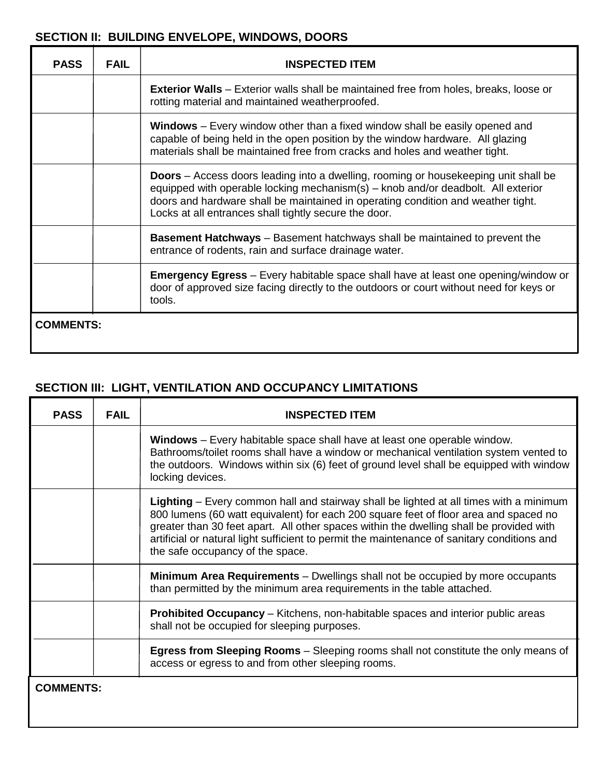## **SECTION II: BUILDING ENVELOPE, WINDOWS, DOORS**

| <b>PASS</b>      | <b>FAIL</b> | <b>INSPECTED ITEM</b>                                                                                                                                                                                                                                                                                                       |
|------------------|-------------|-----------------------------------------------------------------------------------------------------------------------------------------------------------------------------------------------------------------------------------------------------------------------------------------------------------------------------|
|                  |             | <b>Exterior Walls</b> – Exterior walls shall be maintained free from holes, breaks, loose or<br>rotting material and maintained weatherproofed.                                                                                                                                                                             |
|                  |             | <b>Windows</b> – Every window other than a fixed window shall be easily opened and<br>capable of being held in the open position by the window hardware. All glazing<br>materials shall be maintained free from cracks and holes and weather tight.                                                                         |
|                  |             | <b>Doors</b> – Access doors leading into a dwelling, rooming or housekeeping unit shall be<br>equipped with operable locking mechanism(s) - knob and/or deadbolt. All exterior<br>doors and hardware shall be maintained in operating condition and weather tight.<br>Locks at all entrances shall tightly secure the door. |
|                  |             | <b>Basement Hatchways</b> – Basement hatchways shall be maintained to prevent the<br>entrance of rodents, rain and surface drainage water.                                                                                                                                                                                  |
|                  |             | <b>Emergency Egress</b> – Every habitable space shall have at least one opening/window or<br>door of approved size facing directly to the outdoors or court without need for keys or<br>tools.                                                                                                                              |
| <b>COMMENTS:</b> |             |                                                                                                                                                                                                                                                                                                                             |

# **SECTION III: LIGHT, VENTILATION AND OCCUPANCY LIMITATIONS**

| <b>PASS</b>      | <b>FAIL</b> | <b>INSPECTED ITEM</b>                                                                                                                                                                                                                                                                                                                                                                                        |
|------------------|-------------|--------------------------------------------------------------------------------------------------------------------------------------------------------------------------------------------------------------------------------------------------------------------------------------------------------------------------------------------------------------------------------------------------------------|
|                  |             | Windows - Every habitable space shall have at least one operable window.<br>Bathrooms/toilet rooms shall have a window or mechanical ventilation system vented to<br>the outdoors. Windows within six (6) feet of ground level shall be equipped with window<br>locking devices.                                                                                                                             |
|                  |             | Lighting – Every common hall and stairway shall be lighted at all times with a minimum<br>800 lumens (60 watt equivalent) for each 200 square feet of floor area and spaced no<br>greater than 30 feet apart. All other spaces within the dwelling shall be provided with<br>artificial or natural light sufficient to permit the maintenance of sanitary conditions and<br>the safe occupancy of the space. |
|                  |             | Minimum Area Requirements - Dwellings shall not be occupied by more occupants<br>than permitted by the minimum area requirements in the table attached.                                                                                                                                                                                                                                                      |
|                  |             | <b>Prohibited Occupancy</b> – Kitchens, non-habitable spaces and interior public areas<br>shall not be occupied for sleeping purposes.                                                                                                                                                                                                                                                                       |
|                  |             | <b>Egress from Sleeping Rooms</b> – Sleeping rooms shall not constitute the only means of<br>access or egress to and from other sleeping rooms.                                                                                                                                                                                                                                                              |
| <b>COMMENTS:</b> |             |                                                                                                                                                                                                                                                                                                                                                                                                              |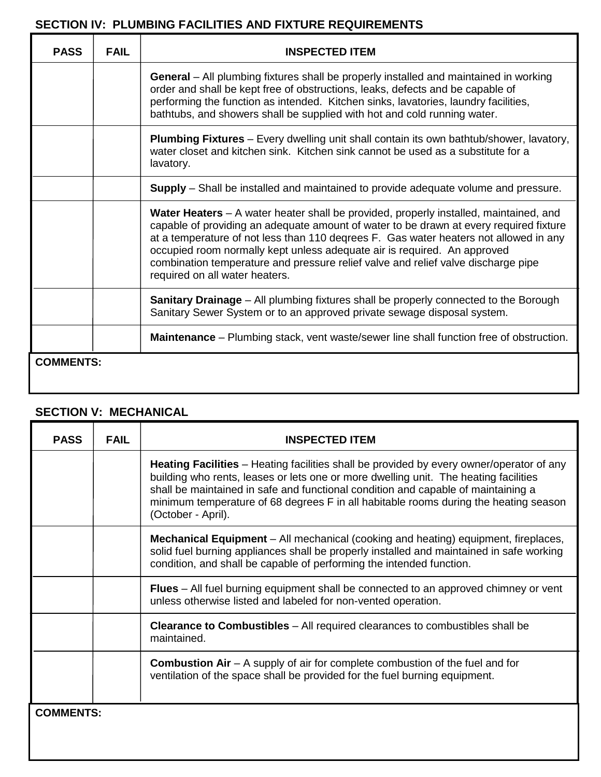#### **SECTION IV: PLUMBING FACILITIES AND FIXTURE REQUIREMENTS** Τ

| <b>PASS</b> | <b>FAIL</b>      | <b>INSPECTED ITEM</b>                                                                                                                                                                                                                                                                                                                                                                                                                                                       |  |
|-------------|------------------|-----------------------------------------------------------------------------------------------------------------------------------------------------------------------------------------------------------------------------------------------------------------------------------------------------------------------------------------------------------------------------------------------------------------------------------------------------------------------------|--|
|             |                  | General - All plumbing fixtures shall be properly installed and maintained in working<br>order and shall be kept free of obstructions, leaks, defects and be capable of<br>performing the function as intended. Kitchen sinks, lavatories, laundry facilities,<br>bathtubs, and showers shall be supplied with hot and cold running water.                                                                                                                                  |  |
|             |                  | <b>Plumbing Fixtures</b> – Every dwelling unit shall contain its own bathtub/shower, lavatory,<br>water closet and kitchen sink. Kitchen sink cannot be used as a substitute for a<br>lavatory.                                                                                                                                                                                                                                                                             |  |
|             |                  | <b>Supply</b> – Shall be installed and maintained to provide adequate volume and pressure.                                                                                                                                                                                                                                                                                                                                                                                  |  |
|             |                  | Water Heaters – A water heater shall be provided, properly installed, maintained, and<br>capable of providing an adequate amount of water to be drawn at every required fixture<br>at a temperature of not less than 110 degrees F. Gas water heaters not allowed in any<br>occupied room normally kept unless adequate air is required. An approved<br>combination temperature and pressure relief valve and relief valve discharge pipe<br>required on all water heaters. |  |
|             |                  | <b>Sanitary Drainage</b> – All plumbing fixtures shall be properly connected to the Borough<br>Sanitary Sewer System or to an approved private sewage disposal system.                                                                                                                                                                                                                                                                                                      |  |
|             |                  | <b>Maintenance</b> – Plumbing stack, vent waste/sewer line shall function free of obstruction.                                                                                                                                                                                                                                                                                                                                                                              |  |
|             | <b>COMMENTS:</b> |                                                                                                                                                                                                                                                                                                                                                                                                                                                                             |  |

# **SECTION V: MECHANICAL**

Т

| <b>PASS</b>      | <b>FAIL</b> | <b>INSPECTED ITEM</b>                                                                                                                                                                                                                                                                                                                                                                      |
|------------------|-------------|--------------------------------------------------------------------------------------------------------------------------------------------------------------------------------------------------------------------------------------------------------------------------------------------------------------------------------------------------------------------------------------------|
|                  |             | <b>Heating Facilities</b> – Heating facilities shall be provided by every owner/operator of any<br>building who rents, leases or lets one or more dwelling unit. The heating facilities<br>shall be maintained in safe and functional condition and capable of maintaining a<br>minimum temperature of 68 degrees F in all habitable rooms during the heating season<br>(October - April). |
|                  |             | <b>Mechanical Equipment</b> – All mechanical (cooking and heating) equipment, fireplaces,<br>solid fuel burning appliances shall be properly installed and maintained in safe working<br>condition, and shall be capable of performing the intended function.                                                                                                                              |
|                  |             | Flues - All fuel burning equipment shall be connected to an approved chimney or vent<br>unless otherwise listed and labeled for non-vented operation.                                                                                                                                                                                                                                      |
|                  |             | <b>Clearance to Combustibles</b> - All required clearances to combustibles shall be<br>maintained.                                                                                                                                                                                                                                                                                         |
|                  |             | <b>Combustion Air</b> $- A$ supply of air for complete combustion of the fuel and for<br>ventilation of the space shall be provided for the fuel burning equipment.                                                                                                                                                                                                                        |
| <b>COMMENTS:</b> |             |                                                                                                                                                                                                                                                                                                                                                                                            |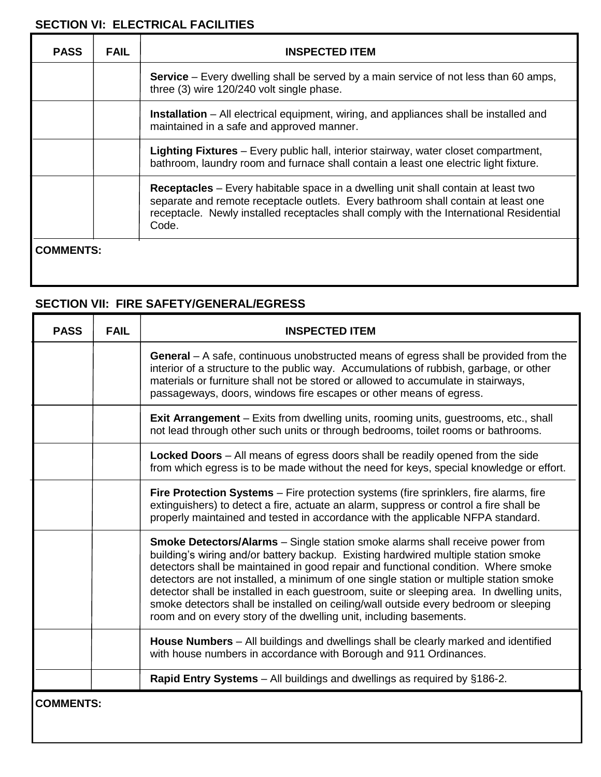# **SECTION VI: ELECTRICAL FACILITIES**

| <b>PASS</b>      | <b>FAIL</b> | <b>INSPECTED ITEM</b>                                                                                                                                                                                                                                                             |
|------------------|-------------|-----------------------------------------------------------------------------------------------------------------------------------------------------------------------------------------------------------------------------------------------------------------------------------|
|                  |             | <b>Service</b> – Every dwelling shall be served by a main service of not less than 60 amps,<br>three (3) wire 120/240 volt single phase.                                                                                                                                          |
|                  |             | <b>Installation</b> – All electrical equipment, wiring, and appliances shall be installed and<br>maintained in a safe and approved manner.                                                                                                                                        |
|                  |             | <b>Lighting Fixtures</b> – Every public hall, interior stairway, water closet compartment,<br>bathroom, laundry room and furnace shall contain a least one electric light fixture.                                                                                                |
|                  |             | <b>Receptacles</b> – Every habitable space in a dwelling unit shall contain at least two<br>separate and remote receptacle outlets. Every bathroom shall contain at least one<br>receptacle. Newly installed receptacles shall comply with the International Residential<br>Code. |
| <b>COMMENTS:</b> |             |                                                                                                                                                                                                                                                                                   |

# **SECTION VII: FIRE SAFETY/GENERAL/EGRESS**

| <b>PASS</b>      | <b>FAIL</b> | <b>INSPECTED ITEM</b>                                                                                                                                                                                                                                                                                                                                                                                                                                                                                                                                                                                                 |
|------------------|-------------|-----------------------------------------------------------------------------------------------------------------------------------------------------------------------------------------------------------------------------------------------------------------------------------------------------------------------------------------------------------------------------------------------------------------------------------------------------------------------------------------------------------------------------------------------------------------------------------------------------------------------|
|                  |             | <b>General</b> – A safe, continuous unobstructed means of egress shall be provided from the<br>interior of a structure to the public way. Accumulations of rubbish, garbage, or other<br>materials or furniture shall not be stored or allowed to accumulate in stairways,<br>passageways, doors, windows fire escapes or other means of egress.                                                                                                                                                                                                                                                                      |
|                  |             | <b>Exit Arrangement</b> – Exits from dwelling units, rooming units, guestrooms, etc., shall<br>not lead through other such units or through bedrooms, toilet rooms or bathrooms.                                                                                                                                                                                                                                                                                                                                                                                                                                      |
|                  |             | <b>Locked Doors</b> - All means of egress doors shall be readily opened from the side<br>from which egress is to be made without the need for keys, special knowledge or effort.                                                                                                                                                                                                                                                                                                                                                                                                                                      |
|                  |             | Fire Protection Systems - Fire protection systems (fire sprinklers, fire alarms, fire<br>extinguishers) to detect a fire, actuate an alarm, suppress or control a fire shall be<br>properly maintained and tested in accordance with the applicable NFPA standard.                                                                                                                                                                                                                                                                                                                                                    |
|                  |             | <b>Smoke Detectors/Alarms</b> – Single station smoke alarms shall receive power from<br>building's wiring and/or battery backup. Existing hardwired multiple station smoke<br>detectors shall be maintained in good repair and functional condition. Where smoke<br>detectors are not installed, a minimum of one single station or multiple station smoke<br>detector shall be installed in each guestroom, suite or sleeping area. In dwelling units,<br>smoke detectors shall be installed on ceiling/wall outside every bedroom or sleeping<br>room and on every story of the dwelling unit, including basements. |
|                  |             | House Numbers - All buildings and dwellings shall be clearly marked and identified<br>with house numbers in accordance with Borough and 911 Ordinances.                                                                                                                                                                                                                                                                                                                                                                                                                                                               |
|                  |             | Rapid Entry Systems - All buildings and dwellings as required by §186-2.                                                                                                                                                                                                                                                                                                                                                                                                                                                                                                                                              |
| <b>COMMENTS:</b> |             |                                                                                                                                                                                                                                                                                                                                                                                                                                                                                                                                                                                                                       |